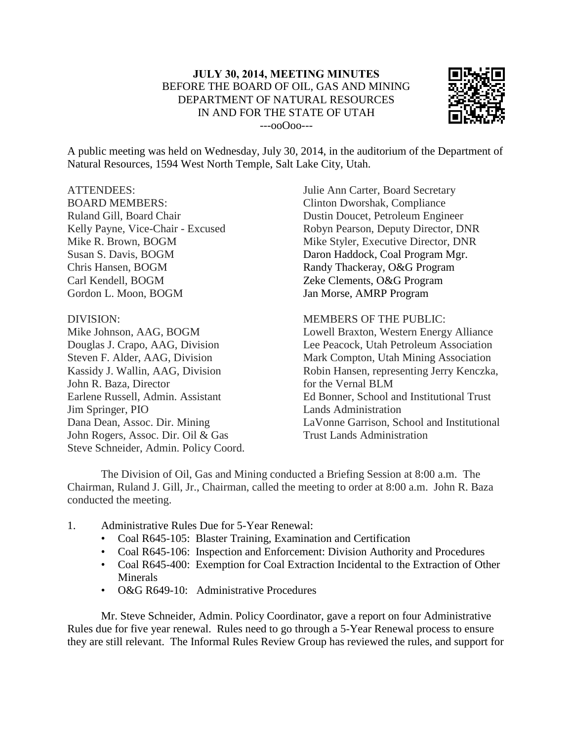

A public meeting was held on Wednesday, July 30, 2014, in the auditorium of the Department of Natural Resources, 1594 West North Temple, Salt Lake City, Utah.

## ATTENDEES:

BOARD MEMBERS: Ruland Gill, Board Chair Kelly Payne, Vice-Chair - Excused Mike R. Brown, BOGM Susan S. Davis, BOGM Chris Hansen, BOGM Carl Kendell, BOGM Gordon L. Moon, BOGM

## DIVISION:

Mike Johnson, AAG, BOGM Douglas J. Crapo, AAG, Division Steven F. Alder, AAG, Division Kassidy J. Wallin, AAG, Division John R. Baza, Director Earlene Russell, Admin. Assistant Jim Springer, PIO Dana Dean, Assoc. Dir. Mining John Rogers, Assoc. Dir. Oil & Gas Steve Schneider, Admin. Policy Coord. Julie Ann Carter, Board Secretary Clinton Dworshak, Compliance Dustin Doucet, Petroleum Engineer Robyn Pearson, Deputy Director, DNR Mike Styler, Executive Director, DNR Daron Haddock, Coal Program Mgr. Randy Thackeray, O&G Program Zeke Clements, O&G Program Jan Morse, AMRP Program

MEMBERS OF THE PUBLIC:

Lowell Braxton, Western Energy Alliance Lee Peacock, Utah Petroleum Association Mark Compton, Utah Mining Association Robin Hansen, representing Jerry Kenczka, for the Vernal BLM Ed Bonner, School and Institutional Trust Lands Administration LaVonne Garrison, School and Institutional Trust Lands Administration

The Division of Oil, Gas and Mining conducted a Briefing Session at 8:00 a.m. The Chairman, Ruland J. Gill, Jr., Chairman, called the meeting to order at 8:00 a.m. John R. Baza conducted the meeting.

- 1. Administrative Rules Due for 5-Year Renewal:
	- Coal R645-105: Blaster Training, Examination and Certification
	- Coal R645-106: Inspection and Enforcement: Division Authority and Procedures
	- Coal R645-400: Exemption for Coal Extraction Incidental to the Extraction of Other Minerals
	- O&G R649-10: Administrative Procedures

Mr. Steve Schneider, Admin. Policy Coordinator, gave a report on four Administrative Rules due for five year renewal. Rules need to go through a 5-Year Renewal process to ensure they are still relevant. The Informal Rules Review Group has reviewed the rules, and support for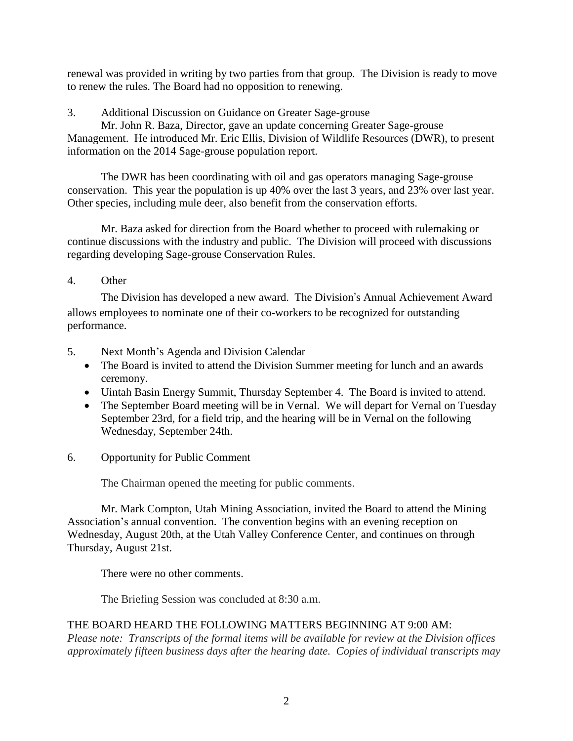renewal was provided in writing by two parties from that group. The Division is ready to move to renew the rules. The Board had no opposition to renewing.

3. Additional Discussion on Guidance on Greater Sage-grouse

Mr. John R. Baza, Director, gave an update concerning Greater Sage-grouse Management. He introduced Mr. Eric Ellis, Division of Wildlife Resources (DWR), to present information on the 2014 Sage-grouse population report.

The DWR has been coordinating with oil and gas operators managing Sage-grouse conservation. This year the population is up 40% over the last 3 years, and 23% over last year. Other species, including mule deer, also benefit from the conservation efforts.

Mr. Baza asked for direction from the Board whether to proceed with rulemaking or continue discussions with the industry and public. The Division will proceed with discussions regarding developing Sage-grouse Conservation Rules.

4. Other

The Division has developed a new award. The Division's Annual Achievement Award allows employees to nominate one of their co-workers to be recognized for outstanding performance.

- 5. Next Month's Agenda and Division Calendar
	- The Board is invited to attend the Division Summer meeting for lunch and an awards ceremony.
	- Uintah Basin Energy Summit, Thursday September 4. The Board is invited to attend.
	- The September Board meeting will be in Vernal. We will depart for Vernal on Tuesday September 23rd, for a field trip, and the hearing will be in Vernal on the following Wednesday, September 24th.
- 6. Opportunity for Public Comment

The Chairman opened the meeting for public comments.

Mr. Mark Compton, Utah Mining Association, invited the Board to attend the Mining Association's annual convention. The convention begins with an evening reception on Wednesday, August 20th, at the Utah Valley Conference Center, and continues on through Thursday, August 21st.

There were no other comments.

The Briefing Session was concluded at 8:30 a.m.

## THE BOARD HEARD THE FOLLOWING MATTERS BEGINNING AT 9:00 AM:

*Please note: Transcripts of the formal items will be available for review at the Division offices approximately fifteen business days after the hearing date. Copies of individual transcripts may*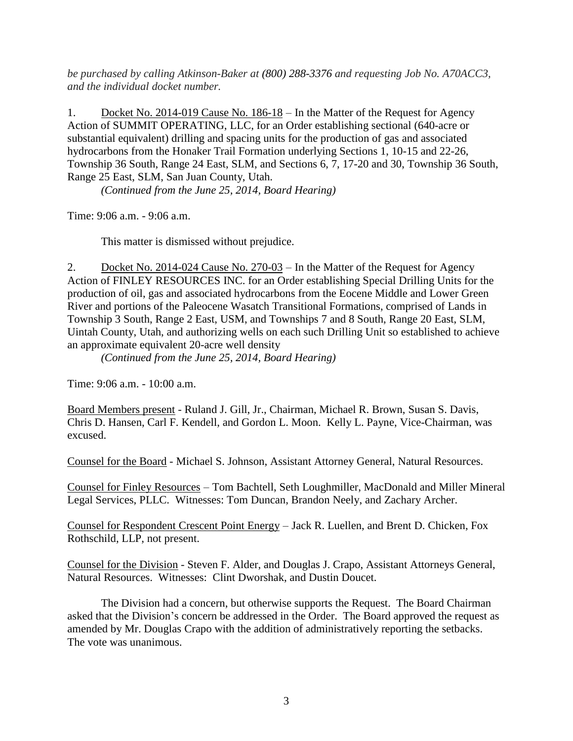*be purchased by calling Atkinson-Baker at (800) 288-3376 and requesting Job No. A70ACC3, and the individual docket number.*

1. Docket No. 2014-019 Cause No. 186-18 – In the Matter of the Request for Agency Action of SUMMIT OPERATING, LLC, for an Order establishing sectional (640-acre or substantial equivalent) drilling and spacing units for the production of gas and associated hydrocarbons from the Honaker Trail Formation underlying Sections 1, 10-15 and 22-26, Township 36 South, Range 24 East, SLM, and Sections 6, 7, 17-20 and 30, Township 36 South, Range 25 East, SLM, San Juan County, Utah.

*(Continued from the June 25, 2014, Board Hearing)*

Time: 9:06 a.m. - 9:06 a.m.

This matter is dismissed without prejudice.

2. Docket No. 2014-024 Cause No. 270-03 – In the Matter of the Request for Agency Action of FINLEY RESOURCES INC. for an Order establishing Special Drilling Units for the production of oil, gas and associated hydrocarbons from the Eocene Middle and Lower Green River and portions of the Paleocene Wasatch Transitional Formations, comprised of Lands in Township 3 South, Range 2 East, USM, and Townships 7 and 8 South, Range 20 East, SLM, Uintah County, Utah, and authorizing wells on each such Drilling Unit so established to achieve an approximate equivalent 20-acre well density

*(Continued from the June 25, 2014, Board Hearing)*

Time: 9:06 a.m. - 10:00 a.m.

Board Members present - Ruland J. Gill, Jr., Chairman, Michael R. Brown, Susan S. Davis, Chris D. Hansen, Carl F. Kendell, and Gordon L. Moon. Kelly L. Payne, Vice-Chairman, was excused.

Counsel for the Board - Michael S. Johnson, Assistant Attorney General, Natural Resources.

Counsel for Finley Resources – Tom Bachtell, Seth Loughmiller, MacDonald and Miller Mineral Legal Services, PLLC. Witnesses: Tom Duncan, Brandon Neely, and Zachary Archer.

Counsel for Respondent Crescent Point Energy – Jack R. Luellen, and Brent D. Chicken, Fox Rothschild, LLP, not present.

Counsel for the Division - Steven F. Alder, and Douglas J. Crapo, Assistant Attorneys General, Natural Resources. Witnesses: Clint Dworshak, and Dustin Doucet.

The Division had a concern, but otherwise supports the Request. The Board Chairman asked that the Division's concern be addressed in the Order. The Board approved the request as amended by Mr. Douglas Crapo with the addition of administratively reporting the setbacks. The vote was unanimous.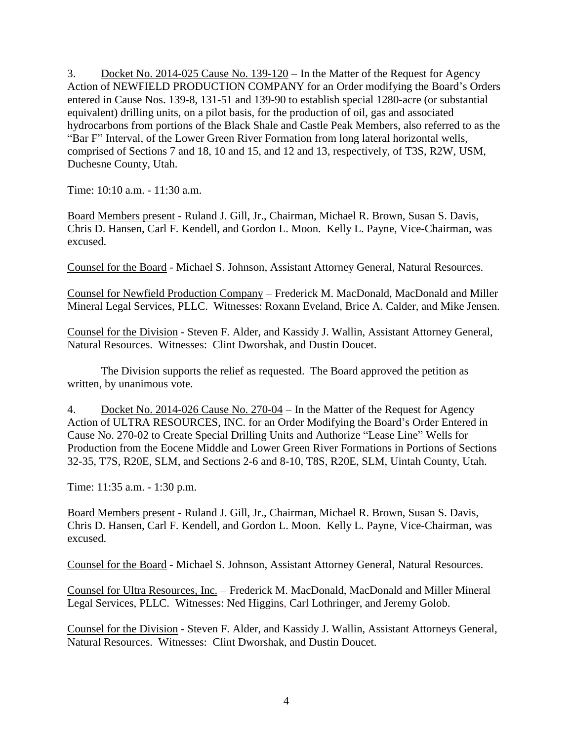3. Docket No. 2014-025 Cause No. 139-120 – In the Matter of the Request for Agency Action of NEWFIELD PRODUCTION COMPANY for an Order modifying the Board's Orders entered in Cause Nos. 139-8, 131-51 and 139-90 to establish special 1280-acre (or substantial equivalent) drilling units, on a pilot basis, for the production of oil, gas and associated hydrocarbons from portions of the Black Shale and Castle Peak Members, also referred to as the "Bar F" Interval, of the Lower Green River Formation from long lateral horizontal wells, comprised of Sections 7 and 18, 10 and 15, and 12 and 13, respectively, of T3S, R2W, USM, Duchesne County, Utah.

Time: 10:10 a.m. - 11:30 a.m.

Board Members present - Ruland J. Gill, Jr., Chairman, Michael R. Brown, Susan S. Davis, Chris D. Hansen, Carl F. Kendell, and Gordon L. Moon. Kelly L. Payne, Vice-Chairman, was excused.

Counsel for the Board - Michael S. Johnson, Assistant Attorney General, Natural Resources.

Counsel for Newfield Production Company – Frederick M. MacDonald, MacDonald and Miller Mineral Legal Services, PLLC. Witnesses: Roxann Eveland, Brice A. Calder, and Mike Jensen.

Counsel for the Division - Steven F. Alder, and Kassidy J. Wallin, Assistant Attorney General, Natural Resources. Witnesses: Clint Dworshak, and Dustin Doucet.

The Division supports the relief as requested. The Board approved the petition as written, by unanimous vote.

4. Docket No. 2014-026 Cause No. 270-04 – In the Matter of the Request for Agency Action of ULTRA RESOURCES, INC. for an Order Modifying the Board's Order Entered in Cause No. 270-02 to Create Special Drilling Units and Authorize "Lease Line" Wells for Production from the Eocene Middle and Lower Green River Formations in Portions of Sections 32-35, T7S, R20E, SLM, and Sections 2-6 and 8-10, T8S, R20E, SLM, Uintah County, Utah.

Time: 11:35 a.m. - 1:30 p.m.

Board Members present - Ruland J. Gill, Jr., Chairman, Michael R. Brown, Susan S. Davis, Chris D. Hansen, Carl F. Kendell, and Gordon L. Moon. Kelly L. Payne, Vice-Chairman, was excused.

Counsel for the Board - Michael S. Johnson, Assistant Attorney General, Natural Resources.

Counsel for Ultra Resources, Inc. – Frederick M. MacDonald, MacDonald and Miller Mineral Legal Services, PLLC. Witnesses: Ned Higgins, Carl Lothringer, and Jeremy Golob.

Counsel for the Division - Steven F. Alder, and Kassidy J. Wallin, Assistant Attorneys General, Natural Resources. Witnesses: Clint Dworshak, and Dustin Doucet.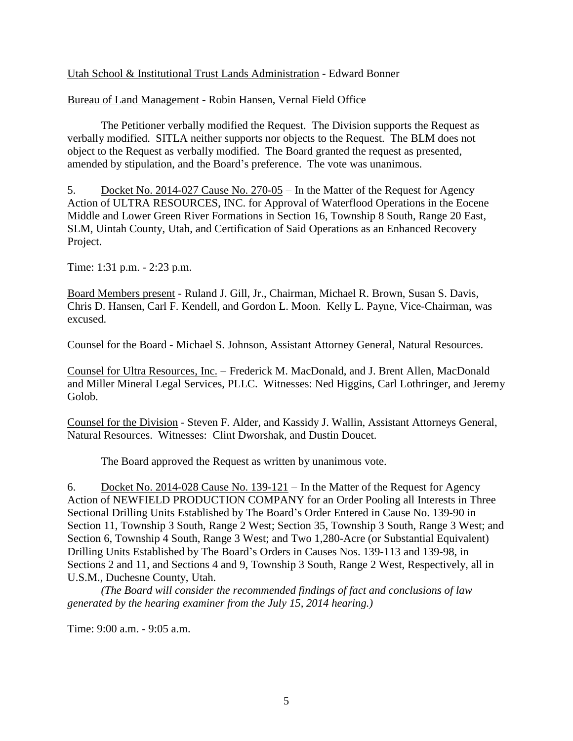Utah School & Institutional Trust Lands Administration - Edward Bonner

Bureau of Land Management - Robin Hansen, Vernal Field Office

The Petitioner verbally modified the Request. The Division supports the Request as verbally modified. SITLA neither supports nor objects to the Request. The BLM does not object to the Request as verbally modified. The Board granted the request as presented, amended by stipulation, and the Board's preference. The vote was unanimous.

5. Docket No. 2014-027 Cause No. 270-05 – In the Matter of the Request for Agency Action of ULTRA RESOURCES, INC. for Approval of Waterflood Operations in the Eocene Middle and Lower Green River Formations in Section 16, Township 8 South, Range 20 East, SLM, Uintah County, Utah, and Certification of Said Operations as an Enhanced Recovery Project.

Time: 1:31 p.m. - 2:23 p.m.

Board Members present - Ruland J. Gill, Jr., Chairman, Michael R. Brown, Susan S. Davis, Chris D. Hansen, Carl F. Kendell, and Gordon L. Moon. Kelly L. Payne, Vice-Chairman, was excused.

Counsel for the Board - Michael S. Johnson, Assistant Attorney General, Natural Resources.

Counsel for Ultra Resources, Inc. – Frederick M. MacDonald, and J. Brent Allen, MacDonald and Miller Mineral Legal Services, PLLC. Witnesses: Ned Higgins, Carl Lothringer, and Jeremy Golob.

Counsel for the Division - Steven F. Alder, and Kassidy J. Wallin, Assistant Attorneys General, Natural Resources. Witnesses: Clint Dworshak, and Dustin Doucet.

The Board approved the Request as written by unanimous vote.

6. Docket No. 2014-028 Cause No. 139-121 – In the Matter of the Request for Agency Action of NEWFIELD PRODUCTION COMPANY for an Order Pooling all Interests in Three Sectional Drilling Units Established by The Board's Order Entered in Cause No. 139-90 in Section 11, Township 3 South, Range 2 West; Section 35, Township 3 South, Range 3 West; and Section 6, Township 4 South, Range 3 West; and Two 1,280-Acre (or Substantial Equivalent) Drilling Units Established by The Board's Orders in Causes Nos. 139-113 and 139-98, in Sections 2 and 11, and Sections 4 and 9, Township 3 South, Range 2 West, Respectively, all in U.S.M., Duchesne County, Utah.

*(The Board will consider the recommended findings of fact and conclusions of law generated by the hearing examiner from the July 15, 2014 hearing.)*

Time: 9:00 a.m. - 9:05 a.m.